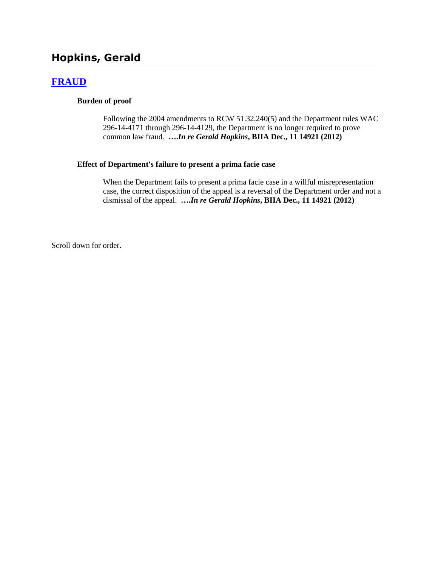# **Hopkins, Gerald**

## **[FRAUD](http://www.biia.wa.gov/SDSubjectIndex.html#FRAUD)**

#### **Burden of proof**

Following the 2004 amendments to RCW 51.32.240(5) and the Department rules WAC 296-14-4171 through 296-14-4129, the Department is no longer required to prove common law fraud. **….***In re Gerald Hopkins***, BIIA Dec., 11 14921 (2012)**

#### **Effect of Department's failure to present a prima facie case**

When the Department fails to present a prima facie case in a willful misrepresentation case, the correct disposition of the appeal is a reversal of the Department order and not a dismissal of the appeal. **….***In re Gerald Hopkins***, BIIA Dec., 11 14921 (2012)**

Scroll down for order.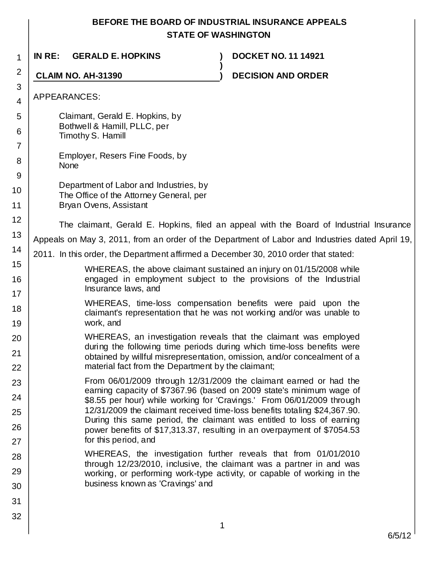# **BEFORE THE BOARD OF INDUSTRIAL INSURANCE APPEALS STATE OF WASHINGTON**

| 1              | IN RE:<br><b>GERALD E. HOPKINS</b>                                                                          | <b>DOCKET NO. 11 14921</b>                                                                                                                          |
|----------------|-------------------------------------------------------------------------------------------------------------|-----------------------------------------------------------------------------------------------------------------------------------------------------|
| 2              | <b>CLAIM NO. AH-31390</b>                                                                                   | <b>DECISION AND ORDER</b>                                                                                                                           |
| 3<br>4         | APPEARANCES:                                                                                                |                                                                                                                                                     |
| 5              | Claimant, Gerald E. Hopkins, by                                                                             |                                                                                                                                                     |
| 6              | Bothwell & Hamill, PLLC, per                                                                                |                                                                                                                                                     |
| $\overline{7}$ | Timothy S. Hamill                                                                                           |                                                                                                                                                     |
| 8              | Employer, Resers Fine Foods, by<br><b>None</b>                                                              |                                                                                                                                                     |
| 9              | Department of Labor and Industries, by<br>The Office of the Attorney General, per<br>Bryan Ovens, Assistant |                                                                                                                                                     |
| 10             |                                                                                                             |                                                                                                                                                     |
| 11             |                                                                                                             |                                                                                                                                                     |
| 12             |                                                                                                             | The claimant, Gerald E. Hopkins, filed an appeal with the Board of Industrial Insurance                                                             |
| 13             | Appeals on May 3, 2011, from an order of the Department of Labor and Industries dated April 19,             |                                                                                                                                                     |
| 14             | 2011. In this order, the Department affirmed a December 30, 2010 order that stated:                         |                                                                                                                                                     |
| 15             |                                                                                                             | WHEREAS, the above claimant sustained an injury on 01/15/2008 while                                                                                 |
| 16             | Insurance laws, and                                                                                         | engaged in employment subject to the provisions of the Industrial                                                                                   |
| 17<br>18       |                                                                                                             | WHEREAS, time-loss compensation benefits were paid upon the<br>claimant's representation that he was not working and/or was unable to               |
| 19             | work, and                                                                                                   |                                                                                                                                                     |
| 20             |                                                                                                             | WHEREAS, an investigation reveals that the claimant was employed<br>during the following time periods during which time-loss benefits were          |
| 21<br>22       | material fact from the Department by the claimant;                                                          | obtained by willful misrepresentation, omission, and/or concealment of a                                                                            |
| 23             |                                                                                                             | From 06/01/2009 through 12/31/2009 the claimant earned or had the                                                                                   |
| 24             |                                                                                                             | earning capacity of \$7367.96 (based on 2009 state's minimum wage of                                                                                |
| 25             |                                                                                                             | \$8.55 per hour) while working for 'Cravings.' From 06/01/2009 through<br>12/31/2009 the claimant received time-loss benefits totaling \$24,367.90. |
| 26             |                                                                                                             | During this same period, the claimant was entitled to loss of earning<br>power benefits of \$17,313.37, resulting in an overpayment of \$7054.53    |
| 27             | for this period, and                                                                                        |                                                                                                                                                     |
| 28             |                                                                                                             | WHEREAS, the investigation further reveals that from 01/01/2010                                                                                     |
| 29             |                                                                                                             | through 12/23/2010, inclusive, the claimant was a partner in and was<br>working, or performing work-type activity, or capable of working in the     |
| 30             | business known as 'Cravings' and                                                                            |                                                                                                                                                     |
| 31             |                                                                                                             |                                                                                                                                                     |
| 32             |                                                                                                             |                                                                                                                                                     |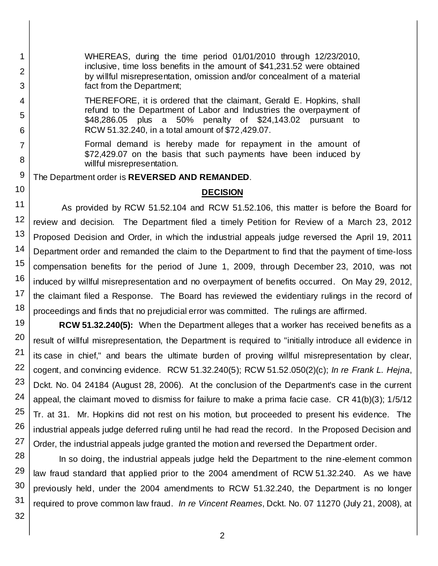WHEREAS, during the time period 01/01/2010 through 12/23/2010, inclusive, time loss benefits in the amount of \$41,231.52 were obtained by willful misrepresentation, omission and/or concealment of a material fact from the Department;

THEREFORE, it is ordered that the claimant, Gerald E. Hopkins, shall refund to the Department of Labor and Industries the overpayment of \$48,286.05 plus a 50% penalty of \$24,143.02 pursuant to RCW 51.32.240, in a total amount of \$72,429.07.

Formal demand is hereby made for repayment in the amount of \$72,429.07 on the basis that such payments have been induced by willful misrepresentation.

The Department order is **REVERSED AND REMANDED**.

### **DECISION**

11 12 13 14 15 16 17 18 As provided by RCW 51.52.104 and RCW 51.52.106, this matter is before the Board for review and decision. The Department filed a timely Petition for Review of a March 23, 2012 Proposed Decision and Order, in which the industrial appeals judge reversed the April 19, 2011 Department order and remanded the claim to the Department to find that the payment of time-loss compensation benefits for the period of June 1, 2009, through December 23, 2010, was not induced by willful misrepresentation and no overpayment of benefits occurred. On May 29, 2012, the claimant filed a Response. The Board has reviewed the evidentiary rulings in the record of proceedings and finds that no prejudicial error was committed. The rulings are affirmed.

19 20 21 22 23 24 25 26 27 **RCW 51.32.240(5):** When the Department alleges that a worker has received benefits as a result of willful misrepresentation, the Department is required to "initially introduce all evidence in its case in chief," and bears the ultimate burden of proving willful misrepresentation by clear, cogent, and convincing evidence. RCW 51.32.240(5); RCW 51.52.050(2)(c); *In re Frank L. Hejna*, Dckt. No. 04 24184 (August 28, 2006). At the conclusion of the Department's case in the current appeal, the claimant moved to dismiss for failure to make a prima facie case. CR 41(b)(3); 1/5/12 Tr. at 31. Mr. Hopkins did not rest on his motion, but proceeded to present his evidence. The industrial appeals judge deferred ruling until he had read the record. In the Proposed Decision and Order, the industrial appeals judge granted the motion and reversed the Department order.

In so doing, the industrial appeals judge held the Department to the nine-element common law fraud standard that applied prior to the 2004 amendment of RCW 51.32.240. As we have previously held, under the 2004 amendments to RCW 51.32.240, the Department is no longer required to prove common law fraud. *In re Vincent Reames*, Dckt. No. 07 11270 (July 21, 2008), at

1

2

3

4

5

6

7

8

9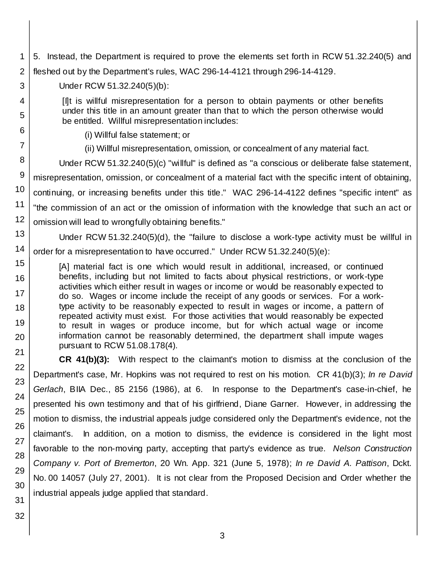- 1 2 3 4 5. Instead, the Department is required to prove the elements set forth in RCW 51.32.240(5) and fleshed out by the Department's rules, WAC 296-14-4121 through 296-14-4129. Under RCW 51.32.240(5)(b): [I]t is willful misrepresentation for a person to obtain payments or other benefits
	- under this title in an amount greater than that to which the person otherwise would be entitled. Willful misrepresentation includes:
		- (i) Willful false statement; or
		- (ii) Willful misrepresentation, omission, or concealment of any material fact.

8 9 10 11 12 Under RCW 51.32.240(5)(c) "willful" is defined as "a conscious or deliberate false statement, misrepresentation, omission, or concealment of a material fact with the specific intent of obtaining, continuing, or increasing benefits under this title." WAC 296-14-4122 defines "specific intent" as "the commission of an act or the omission of information with the knowledge that such an act or omission will lead to wrongfully obtaining benefits."

13 14 Under RCW 51.32.240(5)(d), the "failure to disclose a work-type activity must be willful in order for a misrepresentation to have occurred." Under RCW 51.32.240(5)(e):

[A] material fact is one which would result in additional, increased, or continued benefits, including but not limited to facts about physical restrictions, or work-type activities which either result in wages or income or would be reasonably expected to do so. Wages or income include the receipt of any goods or services. For a worktype activity to be reasonably expected to result in wages or income, a pattern of repeated activity must exist. For those activities that would reasonably be expected to result in wages or produce income, but for which actual wage or income information cannot be reasonably determined, the department shall impute wages pursuant to RCW 51.08.178(4).

**CR 41(b)(3):** With respect to the claimant's motion to dismiss at the conclusion of the Department's case, Mr. Hopkins was not required to rest on his motion. CR 41(b)(3); *In re David Gerlach*, BIIA Dec., 85 2156 (1986), at 6. In response to the Department's case-in-chief, he presented his own testimony and that of his girlfriend, Diane Garner. However, in addressing the motion to dismiss, the industrial appeals judge considered only the Department's evidence, not the claimant's. In addition, on a motion to dismiss, the evidence is considered in the light most favorable to the non-moving party, accepting that party's evidence as true. *Nelson Construction Company v. Port of Bremerton*, 20 Wn. App. 321 (June 5, 1978); *In re David A. Pattison*, Dckt. No. 00 14057 (July 27, 2001). It is not clear from the Proposed Decision and Order whether the industrial appeals judge applied that standard.

5

6

7

15

16

17 18

19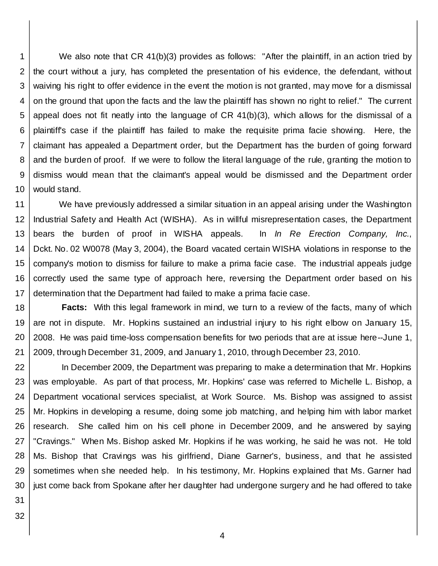1 2 3 4 5 6 7 8 9 10 We also note that CR 41(b)(3) provides as follows: "After the plaintiff, in an action tried by the court without a jury, has completed the presentation of his evidence, the defendant, without waiving his right to offer evidence in the event the motion is not granted, may move for a dismissal on the ground that upon the facts and the law the plaintiff has shown no right to relief." The current appeal does not fit neatly into the language of CR 41(b)(3), which allows for the dismissal of a plaintiff's case if the plaintiff has failed to make the requisite prima facie showing. Here, the claimant has appealed a Department order, but the Department has the burden of going forward and the burden of proof. If we were to follow the literal language of the rule, granting the motion to dismiss would mean that the claimant's appeal would be dismissed and the Department order would stand.

11 12 13 14 15 16 17 We have previously addressed a similar situation in an appeal arising under the Washington Industrial Safety and Health Act (WISHA). As in willful misrepresentation cases, the Department bears the burden of proof in WISHA appeals. In *In Re Erection Company, Inc.*, Dckt. No. 02 W0078 (May 3, 2004), the Board vacated certain WISHA violations in response to the company's motion to dismiss for failure to make a prima facie case. The industrial appeals judge correctly used the same type of approach here, reversing the Department order based on his determination that the Department had failed to make a prima facie case.

18 19 20 21 **Facts:** With this legal framework in mind, we turn to a review of the facts, many of which are not in dispute. Mr. Hopkins sustained an industrial injury to his right elbow on January 15, 2008. He was paid time-loss compensation benefits for two periods that are at issue here--June 1, 2009, through December 31, 2009, and January 1, 2010, through December 23, 2010.

22 23 24 25 26 27 28 29 30 In December 2009, the Department was preparing to make a determination that Mr. Hopkins was employable. As part of that process, Mr. Hopkins' case was referred to Michelle L. Bishop, a Department vocational services specialist, at Work Source. Ms. Bishop was assigned to assist Mr. Hopkins in developing a resume, doing some job matching, and helping him with labor market research. She called him on his cell phone in December 2009, and he answered by saying "Cravings." When Ms. Bishop asked Mr. Hopkins if he was working, he said he was not. He told Ms. Bishop that Cravings was his girlfriend, Diane Garner's, business, and that he assisted sometimes when she needed help. In his testimony, Mr. Hopkins explained that Ms. Garner had just come back from Spokane after her daughter had undergone surgery and he had offered to take

31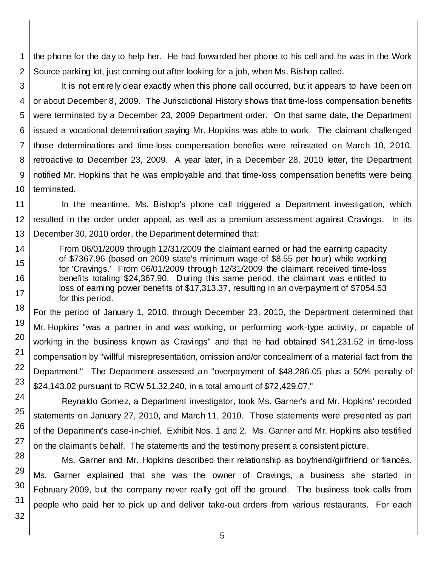1 2 the phone for the day to help her. He had forwarded her phone to his cell and he was in the Work Source parking lot, just coming out after looking for a job, when Ms. Bishop called.

3 4 5 6 7 8 9 10 It is not entirely clear exactly when this phone call occurred, but it appears to have been on or about December 8, 2009. The Jurisdictional History shows that time-loss compensation benefits were terminated by a December 23, 2009 Department order. On that same date, the Department issued a vocational determination saying Mr. Hopkins was able to work. The claimant challenged those determinations and time-loss compensation benefits were reinstated on March 10, 2010, retroactive to December 23, 2009. A year later, in a December 28, 2010 letter, the Department notified Mr. Hopkins that he was employable and that time-loss compensation benefits were being terminated.

11 12 13 In the meantime, Ms. Bishop's phone call triggered a Department investigation, which resulted in the order under appeal, as well as a premium assessment against Cravings. In its December 30, 2010 order, the Department determined that:

From 06/01/2009 through 12/31/2009 the claimant earned or had the earning capacity of \$7367.96 (based on 2009 state's minimum wage of \$8.55 per hour) while working for 'Cravings.' From 06/01/2009 through 12/31/2009 the claimant received time-loss benefits totaling \$24,367.90. During this same period, the claimant was entitled to loss of earning power benefits of \$17,313.37, resulting in an overpayment of \$7054.53 for this period.

For the period of January 1, 2010, through December 23, 2010, the Department determined that Mr. Hopkins "was a partner in and was working, or performing work-type activity, or capable of working in the business known as Cravings" and that he had obtained \$41,231.52 in time-loss compensation by "willful misrepresentation, omission and/or concealment of a material fact from the Department." The Department assessed an "overpayment of \$48,286.05 plus a 50% penalty of \$24,143.02 pursuant to RCW 51.32.240, in a total amount of \$72,429.07."

Reynaldo Gomez, a Department investigator, took Ms. Garner's and Mr. Hopkins' recorded statements on January 27, 2010, and March 11, 2010. Those statements were presented as part of the Department's case-in-chief. Exhibit Nos. 1 and 2. Ms. Garner and Mr. Hopkins also testified on the claimant's behalf. The statements and the testimony present a consistent picture.

Ms. Garner and Mr. Hopkins described their relationship as boyfriend/girlfriend or fiancés. Ms. Garner explained that she was the owner of Cravings, a business she started in February 2009, but the company never really got off the ground. The business took calls from people who paid her to pick up and deliver take-out orders from various restaurants. For each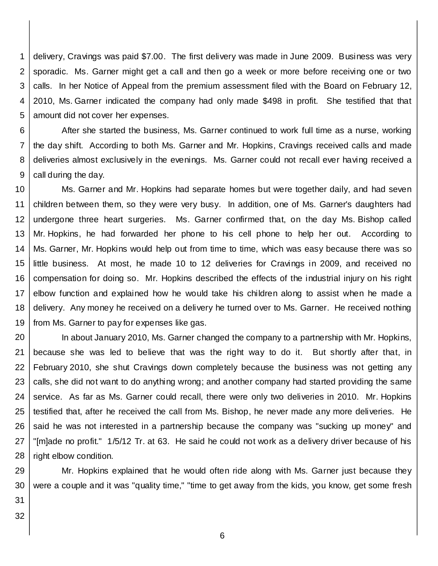1 2 3 4 5 delivery, Cravings was paid \$7.00. The first delivery was made in June 2009. Business was very sporadic. Ms. Garner might get a call and then go a week or more before receiving one or two calls. In her Notice of Appeal from the premium assessment filed with the Board on February 12, 2010, Ms. Garner indicated the company had only made \$498 in profit. She testified that that amount did not cover her expenses.

6 7 8 9 After she started the business, Ms. Garner continued to work full time as a nurse, working the day shift. According to both Ms. Garner and Mr. Hopkins, Cravings received calls and made deliveries almost exclusively in the evenings. Ms. Garner could not recall ever having received a call during the day.

10 11 12 13 14 15 16 17 18 19 Ms. Garner and Mr. Hopkins had separate homes but were together daily, and had seven children between them, so they were very busy. In addition, one of Ms. Garner's daughters had undergone three heart surgeries. Ms. Garner confirmed that, on the day Ms. Bishop called Mr. Hopkins, he had forwarded her phone to his cell phone to help her out. According to Ms. Garner, Mr. Hopkins would help out from time to time, which was easy because there was so little business. At most, he made 10 to 12 deliveries for Cravings in 2009, and received no compensation for doing so. Mr. Hopkins described the effects of the industrial injury on his right elbow function and explained how he would take his children along to assist when he made a delivery. Any money he received on a delivery he turned over to Ms. Garner. He received nothing from Ms. Garner to pay for expenses like gas.

20 21 22 23 24 25 26 27 28 In about January 2010, Ms. Garner changed the company to a partnership with Mr. Hopkins, because she was led to believe that was the right way to do it. But shortly after that, in February 2010, she shut Cravings down completely because the business was not getting any calls, she did not want to do anything wrong; and another company had started providing the same service. As far as Ms. Garner could recall, there were only two deliveries in 2010. Mr. Hopkins testified that, after he received the call from Ms. Bishop, he never made any more deliveries. He said he was not interested in a partnership because the company was "sucking up money" and "[m]ade no profit." 1/5/12 Tr. at 63. He said he could not work as a delivery driver because of his right elbow condition.

29 30 Mr. Hopkins explained that he would often ride along with Ms. Garner just because they were a couple and it was "quality time," "time to get away from the kids, you know, get some fresh

31 32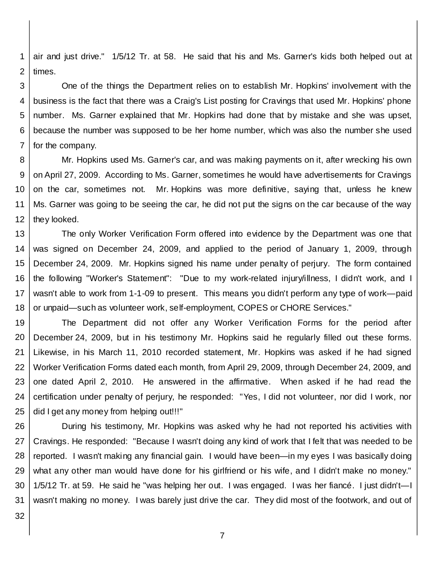1 2 air and just drive." 1/5/12 Tr. at 58. He said that his and Ms. Garner's kids both helped out at times.

3 4 5 6 7 One of the things the Department relies on to establish Mr. Hopkins' involvement with the business is the fact that there was a Craig's List posting for Cravings that used Mr. Hopkins' phone number. Ms. Garner explained that Mr. Hopkins had done that by mistake and she was upset, because the number was supposed to be her home number, which was also the number she used for the company.

8 9 10 11 12 Mr. Hopkins used Ms. Garner's car, and was making payments on it, after wrecking his own on April 27, 2009. According to Ms. Garner, sometimes he would have advertisements for Cravings on the car, sometimes not. Mr. Hopkins was more definitive, saying that, unless he knew Ms. Garner was going to be seeing the car, he did not put the signs on the car because of the way they looked.

13 14 15 16 17 18 The only Worker Verification Form offered into evidence by the Department was one that was signed on December 24, 2009, and applied to the period of January 1, 2009, through December 24, 2009. Mr. Hopkins signed his name under penalty of perjury. The form contained the following "Worker's Statement": "Due to my work-related injury/illness, I didn't work, and I wasn't able to work from 1-1-09 to present. This means you didn't perform any type of work—paid or unpaid—such as volunteer work, self-employment, COPES or CHORE Services."

19 20 21 22 23 24 25 The Department did not offer any Worker Verification Forms for the period after December 24, 2009, but in his testimony Mr. Hopkins said he regularly filled out these forms. Likewise, in his March 11, 2010 recorded statement, Mr. Hopkins was asked if he had signed Worker Verification Forms dated each month, from April 29, 2009, through December 24, 2009, and one dated April 2, 2010. He answered in the affirmative. When asked if he had read the certification under penalty of perjury, he responded: "Yes, I did not volunteer, nor did I work, nor did I get any money from helping out!!!"

26 27 28 29 30 31 During his testimony, Mr. Hopkins was asked why he had not reported his activities with Cravings. He responded: "Because I wasn't doing any kind of work that I felt that was needed to be reported. I wasn't making any financial gain. I would have been—in my eyes I was basically doing what any other man would have done for his girlfriend or his wife, and I didn't make no money." 1/5/12 Tr. at 59. He said he "was helping her out. I was engaged. I was her fiancé. I just didn't—I wasn't making no money. I was barely just drive the car. They did most of the footwork, and out of

32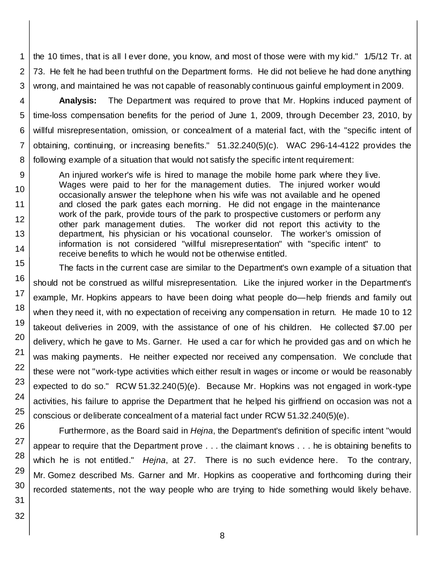1 2 3 the 10 times, that is all I ever done, you know, and most of those were with my kid." 1/5/12 Tr. at 73. He felt he had been truthful on the Department forms. He did not believe he had done anything wrong, and maintained he was not capable of reasonably continuous gainful employment in 2009.

4 5 6 7 **Analysis:** The Department was required to prove that Mr. Hopkins induced payment of time-loss compensation benefits for the period of June 1, 2009, through December 23, 2010, by willful misrepresentation, omission, or concealment of a material fact, with the "specific intent of obtaining, continuing, or increasing benefits." 51.32.240(5)(c). WAC 296-14-4122 provides the following example of a situation that would not satisfy the specific intent requirement:

An injured worker's wife is hired to manage the mobile home park where they live. Wages were paid to her for the management duties. The injured worker would occasionally answer the telephone when his wife was not available and he opened and closed the park gates each morning. He did not engage in the maintenance work of the park, provide tours of the park to prospective customers or perform any other park management duties. The worker did not report this activity to the department, his physician or his vocational counselor. The worker's omission of information is not considered "willful misrepresentation" with "specific intent" to receive benefits to which he would not be otherwise entitled.

The facts in the current case are similar to the Department's own example of a situation that should not be construed as willful misrepresentation. Like the injured worker in the Department's example, Mr. Hopkins appears to have been doing what people do—help friends and family out when they need it, with no expectation of receiving any compensation in return. He made 10 to 12 takeout deliveries in 2009, with the assistance of one of his children. He collected \$7.00 per delivery, which he gave to Ms. Garner. He used a car for which he provided gas and on which he was making payments. He neither expected nor received any compensation. We conclude that these were not "work-type activities which either result in wages or income or would be reasonably expected to do so." RCW 51.32.240(5)(e). Because Mr. Hopkins was not engaged in work-type activities, his failure to apprise the Department that he helped his girlfriend on occasion was not a conscious or deliberate concealment of a material fact under RCW 51.32.240(5)(e).

Furthermore, as the Board said in *Hejna*, the Department's definition of specific intent "would appear to require that the Department prove . . . the claimant knows . . . he is obtaining benefits to which he is not entitled." *Hejna*, at 27. There is no such evidence here. To the contrary, Mr. Gomez described Ms. Garner and Mr. Hopkins as cooperative and forthcoming during their recorded statements, not the way people who are trying to hide something would likely behave.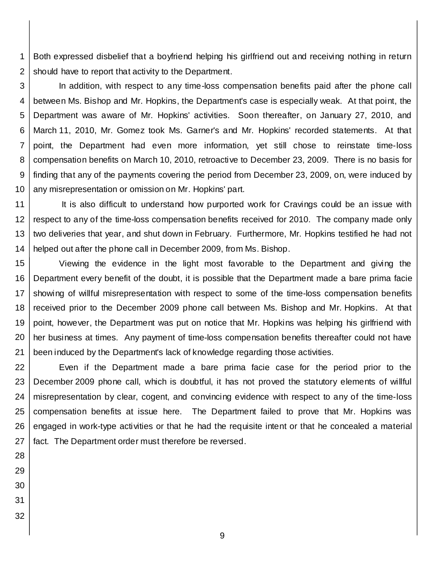1 2 Both expressed disbelief that a boyfriend helping his girlfriend out and receiving nothing in return should have to report that activity to the Department.

3 4 5 6 7 8 9 10 In addition, with respect to any time-loss compensation benefits paid after the phone call between Ms. Bishop and Mr. Hopkins, the Department's case is especially weak. At that point, the Department was aware of Mr. Hopkins' activities. Soon thereafter, on January 27, 2010, and March 11, 2010, Mr. Gomez took Ms. Garner's and Mr. Hopkins' recorded statements. At that point, the Department had even more information, yet still chose to reinstate time-loss compensation benefits on March 10, 2010, retroactive to December 23, 2009. There is no basis for finding that any of the payments covering the period from December 23, 2009, on, were induced by any misrepresentation or omission on Mr. Hopkins' part.

11 12 13 14 It is also difficult to understand how purported work for Cravings could be an issue with respect to any of the time-loss compensation benefits received for 2010. The company made only two deliveries that year, and shut down in February. Furthermore, Mr. Hopkins testified he had not helped out after the phone call in December 2009, from Ms. Bishop.

15 16 17 18 19 20 21 Viewing the evidence in the light most favorable to the Department and giving the Department every benefit of the doubt, it is possible that the Department made a bare prima facie showing of willful misrepresentation with respect to some of the time-loss compensation benefits received prior to the December 2009 phone call between Ms. Bishop and Mr. Hopkins. At that point, however, the Department was put on notice that Mr. Hopkins was helping his girlfriend with her business at times. Any payment of time-loss compensation benefits thereafter could not have been induced by the Department's lack of knowledge regarding those activities.

22 23 24 25 26 27 Even if the Department made a bare prima facie case for the period prior to the December 2009 phone call, which is doubtful, it has not proved the statutory elements of willful misrepresentation by clear, cogent, and convincing evidence with respect to any of the time-loss compensation benefits at issue here. The Department failed to prove that Mr. Hopkins was engaged in work-type activities or that he had the requisite intent or that he concealed a material fact. The Department order must therefore be reversed.

- 28 29 30
- 31
- 32